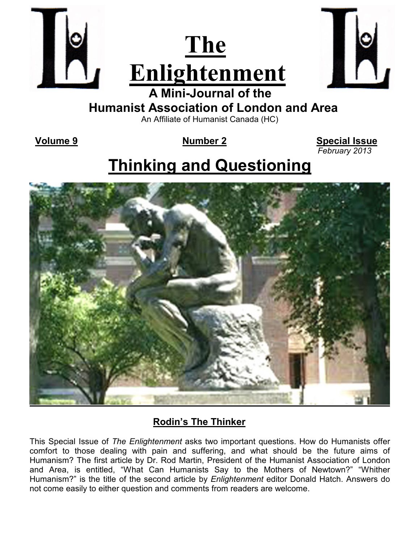



 **Humanist Association of London and Area** 

An Affiliate of Humanist Canada (HC)

 **Volume 9 Number 2 Special Issue**  *February 2013* 

# **Thinking and Questioning**



# **Rodin's The Thinker**

This Special Issue of *The Enlightenment* asks two important questions. How do Humanists offer comfort to those dealing with pain and suffering, and what should be the future aims of Humanism? The first article by Dr. Rod Martin, President of the Humanist Association of London and Area, is entitled, "What Can Humanists Say to the Mothers of Newtown?" "Whither Humanism?" is the title of the second article by *Enlightenment* editor Donald Hatch. Answers do not come easily to either question and comments from readers are welcome.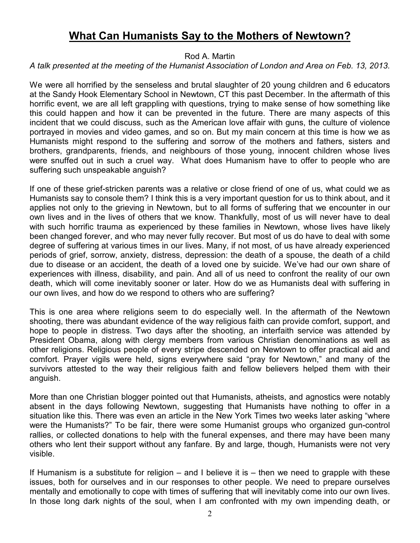### **What Can Humanists Say to the Mothers of Newtown?**

Rod A. Martin

#### *A talk presented at the meeting of the Humanist Association of London and Area on Feb. 13, 2013.*

We were all horrified by the senseless and brutal slaughter of 20 young children and 6 educators at the Sandy Hook Elementary School in Newtown, CT this past December. In the aftermath of this horrific event, we are all left grappling with questions, trying to make sense of how something like this could happen and how it can be prevented in the future. There are many aspects of this incident that we could discuss, such as the American love affair with guns, the culture of violence portrayed in movies and video games, and so on. But my main concern at this time is how we as Humanists might respond to the suffering and sorrow of the mothers and fathers, sisters and brothers, grandparents, friends, and neighbours of those young, innocent children whose lives were snuffed out in such a cruel way. What does Humanism have to offer to people who are suffering such unspeakable anguish?

If one of these grief-stricken parents was a relative or close friend of one of us, what could we as Humanists say to console them? I think this is a very important question for us to think about, and it applies not only to the grieving in Newtown, but to all forms of suffering that we encounter in our own lives and in the lives of others that we know. Thankfully, most of us will never have to deal with such horrific trauma as experienced by these families in Newtown, whose lives have likely been changed forever, and who may never fully recover. But most of us do have to deal with some degree of suffering at various times in our lives. Many, if not most, of us have already experienced periods of grief, sorrow, anxiety, distress, depression: the death of a spouse, the death of a child due to disease or an accident, the death of a loved one by suicide. We've had our own share of experiences with illness, disability, and pain. And all of us need to confront the reality of our own death, which will come inevitably sooner or later. How do we as Humanists deal with suffering in our own lives, and how do we respond to others who are suffering?

This is one area where religions seem to do especially well. In the aftermath of the Newtown shooting, there was abundant evidence of the way religious faith can provide comfort, support, and hope to people in distress. Two days after the shooting, an interfaith service was attended by President Obama, along with clergy members from various Christian denominations as well as other religions. Religious people of every stripe descended on Newtown to offer practical aid and comfort. Prayer vigils were held, signs everywhere said "pray for Newtown," and many of the survivors attested to the way their religious faith and fellow believers helped them with their anguish.

More than one Christian blogger pointed out that Humanists, atheists, and agnostics were notably absent in the days following Newtown, suggesting that Humanists have nothing to offer in a situation like this. There was even an article in the New York Times two weeks later asking "where were the Humanists?" To be fair, there were some Humanist groups who organized gun-control rallies, or collected donations to help with the funeral expenses, and there may have been many others who lent their support without any fanfare. By and large, though, Humanists were not very visible.

If Humanism is a substitute for religion  $-$  and I believe it is  $-$  then we need to grapple with these issues, both for ourselves and in our responses to other people. We need to prepare ourselves mentally and emotionally to cope with times of suffering that will inevitably come into our own lives. In those long dark nights of the soul, when I am confronted with my own impending death, or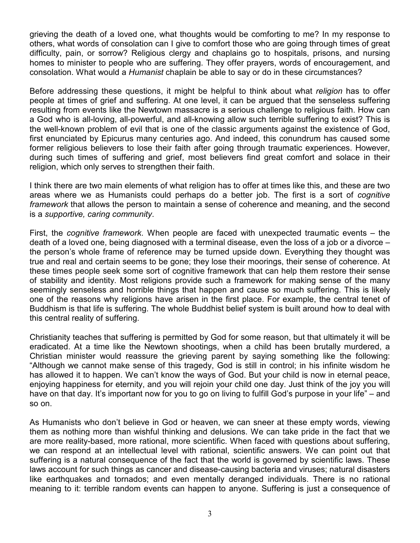grieving the death of a loved one, what thoughts would be comforting to me? In my response to others, what words of consolation can I give to comfort those who are going through times of great difficulty, pain, or sorrow? Religious clergy and chaplains go to hospitals, prisons, and nursing homes to minister to people who are suffering. They offer prayers, words of encouragement, and consolation. What would a *Humanist* chaplain be able to say or do in these circumstances?

Before addressing these questions, it might be helpful to think about what *religion* has to offer people at times of grief and suffering. At one level, it can be argued that the senseless suffering resulting from events like the Newtown massacre is a serious challenge to religious faith. How can a God who is all-loving, all-powerful, and all-knowing allow such terrible suffering to exist? This is the well-known problem of evil that is one of the classic arguments against the existence of God, first enunciated by Epicurus many centuries ago. And indeed, this conundrum has caused some former religious believers to lose their faith after going through traumatic experiences. However, during such times of suffering and grief, most believers find great comfort and solace in their religion, which only serves to strengthen their faith.

I think there are two main elements of what religion has to offer at times like this, and these are two areas where we as Humanists could perhaps do a better job. The first is a sort of *cognitive framework* that allows the person to maintain a sense of coherence and meaning, and the second is a *supportive, caring community*.

First, the *cognitive framework*. When people are faced with unexpected traumatic events – the death of a loved one, being diagnosed with a terminal disease, even the loss of a job or a divorce – the person's whole frame of reference may be turned upside down. Everything they thought was true and real and certain seems to be gone; they lose their moorings, their sense of coherence. At these times people seek some sort of cognitive framework that can help them restore their sense of stability and identity. Most religions provide such a framework for making sense of the many seemingly senseless and horrible things that happen and cause so much suffering. This is likely one of the reasons why religions have arisen in the first place. For example, the central tenet of Buddhism is that life is suffering. The whole Buddhist belief system is built around how to deal with this central reality of suffering.

Christianity teaches that suffering is permitted by God for some reason, but that ultimately it will be eradicated. At a time like the Newtown shootings, when a child has been brutally murdered, a Christian minister would reassure the grieving parent by saying something like the following: "Although we cannot make sense of this tragedy, God is still in control; in his infinite wisdom he has allowed it to happen. We can't know the ways of God. But your child is now in eternal peace, enjoying happiness for eternity, and you will rejoin your child one day. Just think of the joy you will have on that day. It's important now for you to go on living to fulfill God's purpose in your life" – and so on.

As Humanists who don't believe in God or heaven, we can sneer at these empty words, viewing them as nothing more than wishful thinking and delusions. We can take pride in the fact that we are more reality-based, more rational, more scientific. When faced with questions about suffering, we can respond at an intellectual level with rational, scientific answers. We can point out that suffering is a natural consequence of the fact that the world is governed by scientific laws. These laws account for such things as cancer and disease-causing bacteria and viruses; natural disasters like earthquakes and tornados; and even mentally deranged individuals. There is no rational meaning to it: terrible random events can happen to anyone. Suffering is just a consequence of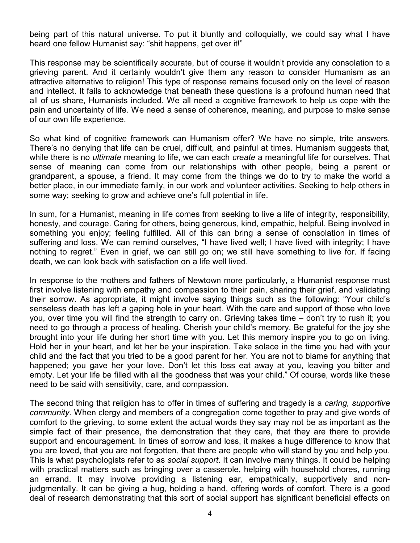being part of this natural universe. To put it bluntly and colloquially, we could say what I have heard one fellow Humanist say: "shit happens, get over it!"

This response may be scientifically accurate, but of course it wouldn't provide any consolation to a grieving parent. And it certainly wouldn't give them any reason to consider Humanism as an attractive alternative to religion! This type of response remains focused only on the level of reason and intellect. It fails to acknowledge that beneath these questions is a profound human need that all of us share, Humanists included. We all need a cognitive framework to help us cope with the pain and uncertainty of life. We need a sense of coherence, meaning, and purpose to make sense of our own life experience.

So what kind of cognitive framework can Humanism offer? We have no simple, trite answers. There's no denying that life can be cruel, difficult, and painful at times. Humanism suggests that, while there is no *ultimate* meaning to life, we can each *create* a meaningful life for ourselves. That sense of meaning can come from our relationships with other people, being a parent or grandparent, a spouse, a friend. It may come from the things we do to try to make the world a better place, in our immediate family, in our work and volunteer activities. Seeking to help others in some way; seeking to grow and achieve one's full potential in life.

In sum, for a Humanist, meaning in life comes from seeking to live a life of integrity, responsibility, honesty, and courage. Caring for others, being generous, kind, empathic, helpful. Being involved in something you enjoy; feeling fulfilled. All of this can bring a sense of consolation in times of suffering and loss. We can remind ourselves, "I have lived well; I have lived with integrity; I have nothing to regret." Even in grief, we can still go on; we still have something to live for. If facing death, we can look back with satisfaction on a life well lived.

In response to the mothers and fathers of Newtown more particularly, a Humanist response must first involve listening with empathy and compassion to their pain, sharing their grief, and validating their sorrow. As appropriate, it might involve saying things such as the following: "Your child's senseless death has left a gaping hole in your heart. With the care and support of those who love you, over time you will find the strength to carry on. Grieving takes time – don't try to rush it; you need to go through a process of healing. Cherish your child's memory. Be grateful for the joy she brought into your life during her short time with you. Let this memory inspire you to go on living. Hold her in your heart, and let her be your inspiration. Take solace in the time you had with your child and the fact that you tried to be a good parent for her. You are not to blame for anything that happened; you gave her your love. Don't let this loss eat away at you, leaving you bitter and empty. Let your life be filled with all the goodness that was your child." Of course, words like these need to be said with sensitivity, care, and compassion.

The second thing that religion has to offer in times of suffering and tragedy is a *caring, supportive community*. When clergy and members of a congregation come together to pray and give words of comfort to the grieving, to some extent the actual words they say may not be as important as the simple fact of their presence, the demonstration that they care, that they are there to provide support and encouragement. In times of sorrow and loss, it makes a huge difference to know that you are loved, that you are not forgotten, that there are people who will stand by you and help you. This is what psychologists refer to as *social support*. It can involve many things. It could be helping with practical matters such as bringing over a casserole, helping with household chores, running an errand. It may involve providing a listening ear, empathically, supportively and nonjudgmentally. It can be giving a hug, holding a hand, offering words of comfort. There is a good deal of research demonstrating that this sort of social support has significant beneficial effects on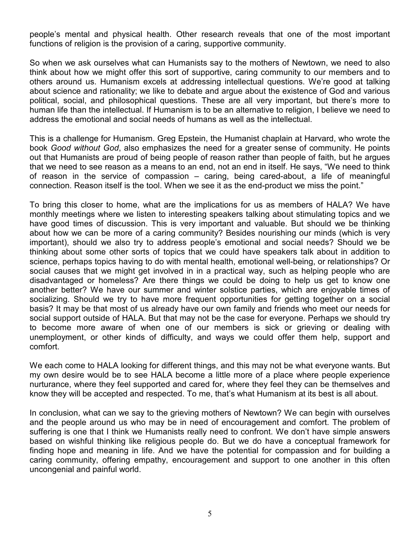people's mental and physical health. Other research reveals that one of the most important functions of religion is the provision of a caring, supportive community.

So when we ask ourselves what can Humanists say to the mothers of Newtown, we need to also think about how we might offer this sort of supportive, caring community to our members and to others around us. Humanism excels at addressing intellectual questions. We're good at talking about science and rationality; we like to debate and argue about the existence of God and various political, social, and philosophical questions. These are all very important, but there's more to human life than the intellectual. If Humanism is to be an alternative to religion, I believe we need to address the emotional and social needs of humans as well as the intellectual.

This is a challenge for Humanism. Greg Epstein, the Humanist chaplain at Harvard, who wrote the book *Good without God*, also emphasizes the need for a greater sense of community. He points out that Humanists are proud of being people of reason rather than people of faith, but he argues that we need to see reason as a means to an end, not an end in itself. He says, "We need to think of reason in the service of compassion – caring, being cared-about, a life of meaningful connection. Reason itself is the tool. When we see it as the end-product we miss the point."

To bring this closer to home, what are the implications for us as members of HALA? We have monthly meetings where we listen to interesting speakers talking about stimulating topics and we have good times of discussion. This is very important and valuable. But should we be thinking about how we can be more of a caring community? Besides nourishing our minds (which is very important), should we also try to address people's emotional and social needs? Should we be thinking about some other sorts of topics that we could have speakers talk about in addition to science, perhaps topics having to do with mental health, emotional well-being, or relationships? Or social causes that we might get involved in in a practical way, such as helping people who are disadvantaged or homeless? Are there things we could be doing to help us get to know one another better? We have our summer and winter solstice parties, which are enjoyable times of socializing. Should we try to have more frequent opportunities for getting together on a social basis? It may be that most of us already have our own family and friends who meet our needs for social support outside of HALA. But that may not be the case for everyone. Perhaps we should try to become more aware of when one of our members is sick or grieving or dealing with unemployment, or other kinds of difficulty, and ways we could offer them help, support and comfort.

We each come to HALA looking for different things, and this may not be what everyone wants. But my own desire would be to see HALA become a little more of a place where people experience nurturance, where they feel supported and cared for, where they feel they can be themselves and know they will be accepted and respected. To me, that's what Humanism at its best is all about.

In conclusion, what can we say to the grieving mothers of Newtown? We can begin with ourselves and the people around us who may be in need of encouragement and comfort. The problem of suffering is one that I think we Humanists really need to confront. We don't have simple answers based on wishful thinking like religious people do. But we do have a conceptual framework for finding hope and meaning in life. And we have the potential for compassion and for building a caring community, offering empathy, encouragement and support to one another in this often uncongenial and painful world.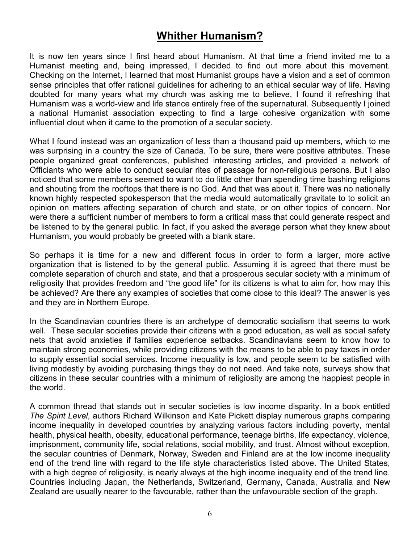# **Whither Humanism?**

It is now ten years since I first heard about Humanism. At that time a friend invited me to a Humanist meeting and, being impressed, I decided to find out more about this movement. Checking on the Internet, I learned that most Humanist groups have a vision and a set of common sense principles that offer rational guidelines for adhering to an ethical secular way of life. Having doubted for many years what my church was asking me to believe, I found it refreshing that Humanism was a world-view and life stance entirely free of the supernatural. Subsequently I joined a national Humanist association expecting to find a large cohesive organization with some influential clout when it came to the promotion of a secular society.

What I found instead was an organization of less than a thousand paid up members, which to me was surprising in a country the size of Canada. To be sure, there were positive attributes. These people organized great conferences, published interesting articles, and provided a network of Officiants who were able to conduct secular rites of passage for non-religious persons. But I also noticed that some members seemed to want to do little other than spending time bashing religions and shouting from the rooftops that there is no God. And that was about it. There was no nationally known highly respected spokesperson that the media would automatically gravitate to to solicit an opinion on matters affecting separation of church and state, or on other topics of concern. Nor were there a sufficient number of members to form a critical mass that could generate respect and be listened to by the general public. In fact, if you asked the average person what they knew about Humanism, you would probably be greeted with a blank stare.

So perhaps it is time for a new and different focus in order to form a larger, more active organization that is listened to by the general public. Assuming it is agreed that there must be complete separation of church and state, and that a prosperous secular society with a minimum of religiosity that provides freedom and "the good life" for its citizens is what to aim for, how may this be achieved? Are there any examples of societies that come close to this ideal? The answer is yes and they are in Northern Europe.

In the Scandinavian countries there is an archetype of democratic socialism that seems to work well. These secular societies provide their citizens with a good education, as well as social safety nets that avoid anxieties if families experience setbacks. Scandinavians seem to know how to maintain strong economies, while providing citizens with the means to be able to pay taxes in order to supply essential social services. Income inequality is low, and people seem to be satisfied with living modestly by avoiding purchasing things they do not need. And take note, surveys show that citizens in these secular countries with a minimum of religiosity are among the happiest people in the world.

A common thread that stands out in secular societies is low income disparity. In a book entitled *The Spirit Level*, authors Richard Wilkinson and Kate Pickett display numerous graphs comparing income inequality in developed countries by analyzing various factors including poverty, mental health, physical health, obesity, educational performance, teenage births, life expectancy, violence, imprisonment, community life, social relations, social mobility, and trust. Almost without exception, the secular countries of Denmark, Norway, Sweden and Finland are at the low income inequality end of the trend line with regard to the life style characteristics listed above. The United States, with a high degree of religiosity, is nearly always at the high income inequality end of the trend line. Countries including Japan, the Netherlands, Switzerland, Germany, Canada, Australia and New Zealand are usually nearer to the favourable, rather than the unfavourable section of the graph.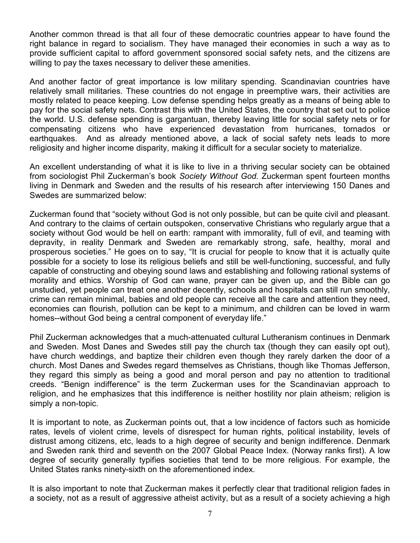Another common thread is that all four of these democratic countries appear to have found the right balance in regard to socialism. They have managed their economies in such a way as to provide sufficient capital to afford government sponsored social safety nets, and the citizens are willing to pay the taxes necessary to deliver these amenities.

And another factor of great importance is low military spending. Scandinavian countries have relatively small militaries. These countries do not engage in preemptive wars, their activities are mostly related to peace keeping. Low defense spending helps greatly as a means of being able to pay for the social safety nets. Contrast this with the United States, the country that set out to police the world. U.S. defense spending is gargantuan, thereby leaving little for social safety nets or for compensating citizens who have experienced devastation from hurricanes, tornados or earthquakes. And as already mentioned above, a lack of social safety nets leads to more religiosity and higher income disparity, making it difficult for a secular society to materialize.

An excellent understanding of what it is like to live in a thriving secular society can be obtained from sociologist Phil Zuckerman's book *Society Without God.* Zuckerman spent fourteen months living in Denmark and Sweden and the results of his research after interviewing 150 Danes and Swedes are summarized below:

Zuckerman found that "society without God is not only possible, but can be quite civil and pleasant. And contrary to the claims of certain outspoken, conservative Christians who regularly argue that a society without God would be hell on earth: rampant with immorality, full of evil, and teaming with depravity, in reality Denmark and Sweden are remarkably strong, safe, healthy, moral and prosperous societies." He goes on to say, "It is crucial for people to know that it is actually quite possible for a society to lose its religious beliefs and still be well-functioning, successful, and fully capable of constructing and obeying sound laws and establishing and following rational systems of morality and ethics. Worship of God can wane, prayer can be given up, and the Bible can go unstudied, yet people can treat one another decently, schools and hospitals can still run smoothly, crime can remain minimal, babies and old people can receive all the care and attention they need, economies can flourish, pollution can be kept to a minimum, and children can be loved in warm homes--without God being a central component of everyday life."

Phil Zuckerman acknowledges that a much-attenuated cultural Lutheranism continues in Denmark and Sweden. Most Danes and Swedes still pay the church tax (though they can easily opt out), have church weddings, and baptize their children even though they rarely darken the door of a church. Most Danes and Swedes regard themselves as Christians, though like Thomas Jefferson, they regard this simply as being a good and moral person and pay no attention to traditional creeds. "Benign indifference" is the term Zuckerman uses for the Scandinavian approach to religion, and he emphasizes that this indifference is neither hostility nor plain atheism; religion is simply a non-topic.

It is important to note, as Zuckerman points out, that a low incidence of factors such as homicide rates, levels of violent crime, levels of disrespect for human rights, political instability, levels of distrust among citizens, etc, leads to a high degree of security and benign indifference. Denmark and Sweden rank third and seventh on the 2007 Global Peace Index. (Norway ranks first). A low degree of security generally typifies societies that tend to be more religious. For example, the United States ranks ninety-sixth on the aforementioned index.

It is also important to note that Zuckerman makes it perfectly clear that traditional religion fades in a society, not as a result of aggressive atheist activity, but as a result of a society achieving a high